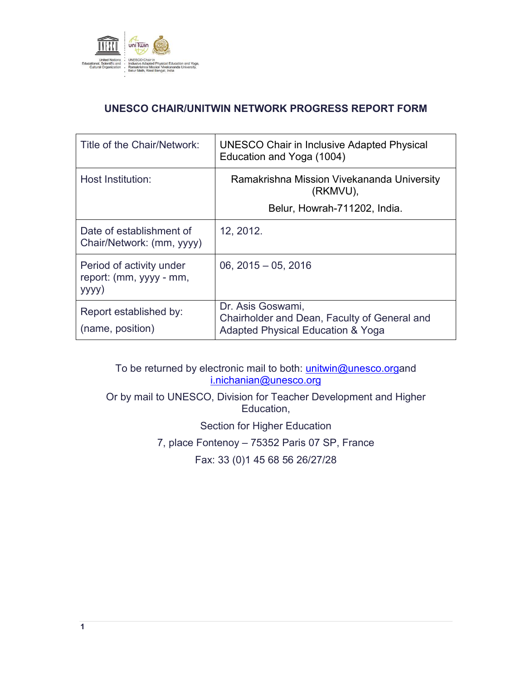

# **UNESCO CHAIR/UNITWIN NETWORK PROGRESS REPORT FORM**

| Title of the Chair/Network:                                  | UNESCO Chair in Inclusive Adapted Physical<br>Education and Yoga (1004)                                |  |
|--------------------------------------------------------------|--------------------------------------------------------------------------------------------------------|--|
| Host Institution:                                            | Ramakrishna Mission Vivekananda University<br>(RKMVU),<br>Belur, Howrah-711202, India.                 |  |
| Date of establishment of<br>Chair/Network: (mm, yyyy)        | 12, 2012.                                                                                              |  |
| Period of activity under<br>report: (mm, yyyy - mm,<br>yyyy) | $06, 2015 - 05, 2016$                                                                                  |  |
| Report established by:<br>(name, position)                   | Dr. Asis Goswami,<br>Chairholder and Dean, Faculty of General and<br>Adapted Physical Education & Yoga |  |

To be returned by electronic mail to both: *unitwin@unesco.organd* i.nichanian@unesco.org

Or by mail to UNESCO, Division for Teacher Development and Higher Education,

Section for Higher Education

7, place Fontenoy – 75352 Paris 07 SP, France

Fax: 33 (0)1 45 68 56 26/27/28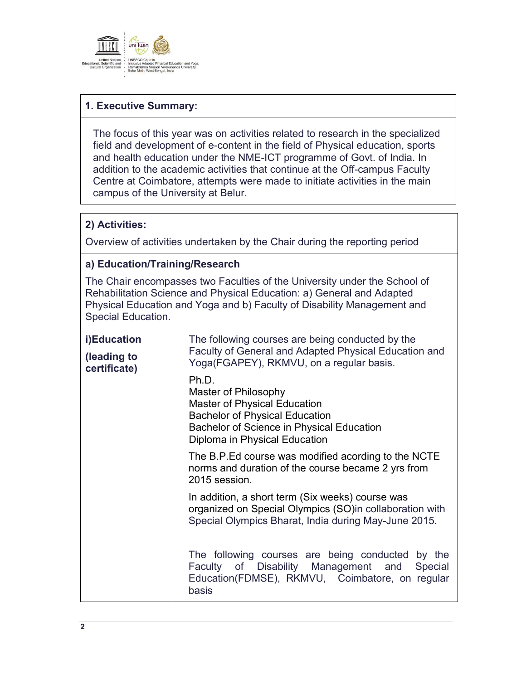

# **1. Executive Summary:**

The focus of this year was on activities related to research in the specialized field and development of e-content in the field of Physical education, sports and health education under the NME-ICT programme of Govt. of India. In addition to the academic activities that continue at the Off-campus Faculty Centre at Coimbatore, attempts were made to initiate activities in the main campus of the University at Belur.

### **2) Activities:**

Overview of activities undertaken by the Chair during the reporting period

## **a) Education/Training/Research**

The Chair encompasses two Faculties of the University under the School of Rehabilitation Science and Physical Education: a) General and Adapted Physical Education and Yoga and b) Faculty of Disability Management and Special Education.

| i)Education<br>(leading to<br>certificate) | The following courses are being conducted by the<br>Faculty of General and Adapted Physical Education and<br>Yoga(FGAPEY), RKMVU, on a regular basis.<br>Ph.D.<br>Master of Philosophy<br><b>Master of Physical Education</b><br><b>Bachelor of Physical Education</b><br>Bachelor of Science in Physical Education<br>Diploma in Physical Education |  |
|--------------------------------------------|------------------------------------------------------------------------------------------------------------------------------------------------------------------------------------------------------------------------------------------------------------------------------------------------------------------------------------------------------|--|
|                                            | The B.P. Ed course was modified acording to the NCTE<br>norms and duration of the course became 2 yrs from<br>2015 session.                                                                                                                                                                                                                          |  |
|                                            | In addition, a short term (Six weeks) course was<br>organized on Special Olympics (SO)in collaboration with<br>Special Olympics Bharat, India during May-June 2015.                                                                                                                                                                                  |  |
|                                            | The following courses are being conducted by the<br>Faculty of Disability Management and<br>Special<br>Education(FDMSE), RKMVU, Coimbatore, on regular<br>basis                                                                                                                                                                                      |  |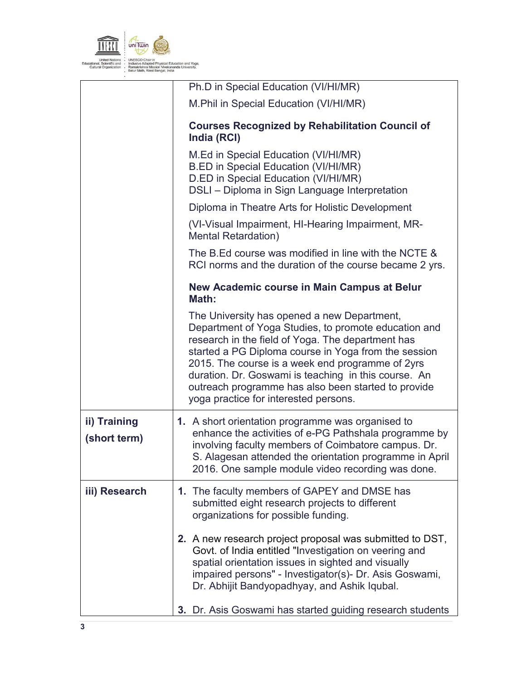

|                              | Ph.D in Special Education (VI/HI/MR)                                                                                                                                                                                                                                                                                                                                                                                         |  |  |
|------------------------------|------------------------------------------------------------------------------------------------------------------------------------------------------------------------------------------------------------------------------------------------------------------------------------------------------------------------------------------------------------------------------------------------------------------------------|--|--|
|                              | M. Phil in Special Education (VI/HI/MR)                                                                                                                                                                                                                                                                                                                                                                                      |  |  |
|                              | <b>Courses Recognized by Rehabilitation Council of</b><br>India (RCI)                                                                                                                                                                                                                                                                                                                                                        |  |  |
|                              | M.Ed in Special Education (VI/HI/MR)<br>B.ED in Special Education (VI/HI/MR)<br>D.ED in Special Education (VI/HI/MR)<br>DSLI - Diploma in Sign Language Interpretation                                                                                                                                                                                                                                                       |  |  |
|                              | Diploma in Theatre Arts for Holistic Development                                                                                                                                                                                                                                                                                                                                                                             |  |  |
|                              | (VI-Visual Impairment, HI-Hearing Impairment, MR-<br><b>Mental Retardation)</b>                                                                                                                                                                                                                                                                                                                                              |  |  |
|                              | The B.Ed course was modified in line with the NCTE &<br>RCI norms and the duration of the course became 2 yrs.                                                                                                                                                                                                                                                                                                               |  |  |
|                              | New Academic course in Main Campus at Belur<br>Math:                                                                                                                                                                                                                                                                                                                                                                         |  |  |
|                              | The University has opened a new Department,<br>Department of Yoga Studies, to promote education and<br>research in the field of Yoga. The department has<br>started a PG Diploma course in Yoga from the session<br>2015. The course is a week end programme of 2yrs<br>duration. Dr. Goswami is teaching in this course. An<br>outreach programme has also been started to provide<br>yoga practice for interested persons. |  |  |
| ii) Training<br>(short term) | 1. A short orientation programme was organised to<br>enhance the activities of e-PG Pathshala programme by<br>involving faculty members of Coimbatore campus. Dr.<br>S. Alagesan attended the orientation programme in April<br>2016. One sample module video recording was done.                                                                                                                                            |  |  |
| iii) Research                | 1. The faculty members of GAPEY and DMSE has<br>submitted eight research projects to different<br>organizations for possible funding.                                                                                                                                                                                                                                                                                        |  |  |
|                              | 2. A new research project proposal was submitted to DST,<br>Govt. of India entitled "Investigation on veering and<br>spatial orientation issues in sighted and visually<br>impaired persons" - Investigator(s)- Dr. Asis Goswami,<br>Dr. Abhijit Bandyopadhyay, and Ashik Iqubal.                                                                                                                                            |  |  |
|                              | 3. Dr. Asis Goswami has started guiding research students                                                                                                                                                                                                                                                                                                                                                                    |  |  |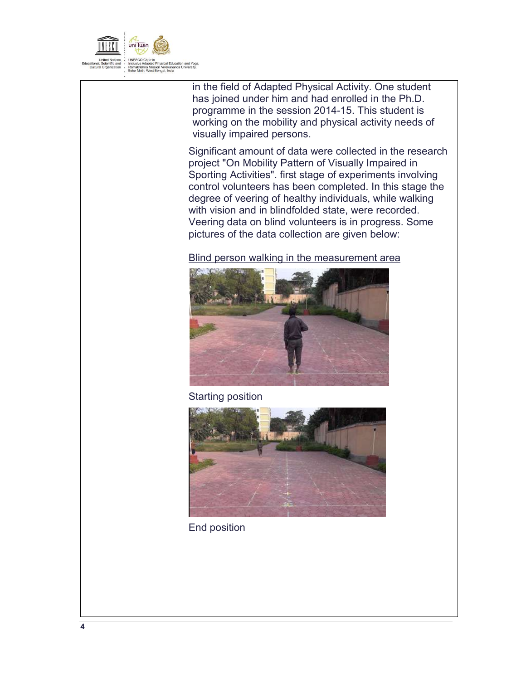

in the field of Adapted Physical Activity. One student has joined under him and had enrolled in the Ph.D. programme in the session 2014-15. This student is working on the mobility and physical activity needs of visually impaired persons.

Significant amount of data were collected in the research project "On Mobility Pattern of Visually Impaired in Sporting Activities". first stage of experiments involving control volunteers has been completed. In this stage the degree of veering of healthy individuals, while walking with vision and in blindfolded state, were recorded. Veering data on blind volunteers is in progress. Some pictures of the data collection are given below:

Blind person walking in the measurement area



Starting position



End position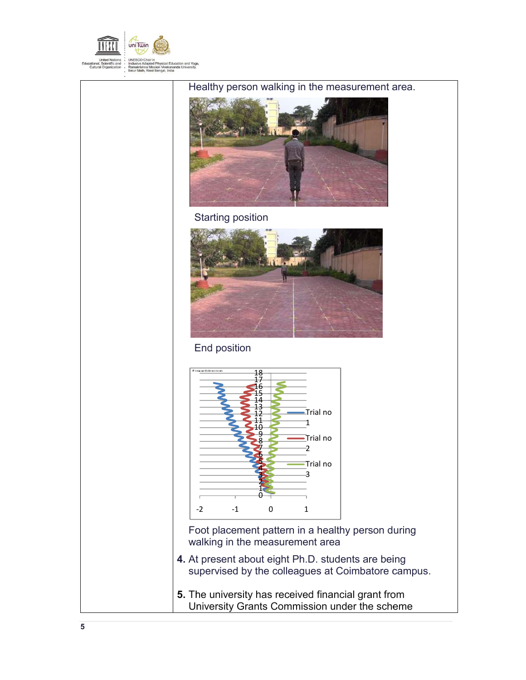

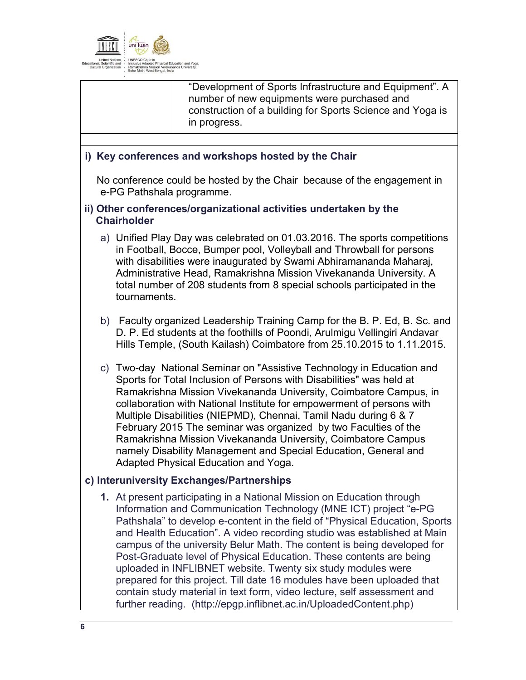

"Development of Sports Infrastructure and Equipment". A number of new equipments were purchased and construction of a building for Sports Science and Yoga is in progress.

#### **i) Key conferences and workshops hosted by the Chair**

No conference could be hosted by the Chair because of the engagement in e-PG Pathshala programme.

#### **ii) Other conferences/organizational activities undertaken by the Chairholder**

- a) Unified Play Day was celebrated on 01.03.2016. The sports competitions in Football, Bocce, Bumper pool, Volleyball and Throwball for persons with disabilities were inaugurated by Swami Abhiramananda Maharaj, Administrative Head, Ramakrishna Mission Vivekananda University. A total number of 208 students from 8 special schools participated in the tournaments.
- b) Faculty organized Leadership Training Camp for the B. P. Ed, B. Sc. and D. P. Ed students at the foothills of Poondi, Arulmigu Vellingiri Andavar Hills Temple, (South Kailash) Coimbatore from 25.10.2015 to 1.11.2015.
- c) Two-day National Seminar on "Assistive Technology in Education and Sports for Total Inclusion of Persons with Disabilities" was held at Ramakrishna Mission Vivekananda University, Coimbatore Campus, in collaboration with National Institute for empowerment of persons with Multiple Disabilities (NIEPMD), Chennai, Tamil Nadu during 6 & 7 February 2015 The seminar was organized by two Faculties of the Ramakrishna Mission Vivekananda University, Coimbatore Campus namely Disability Management and Special Education, General and Adapted Physical Education and Yoga.

### **c) Interuniversity Exchanges/Partnerships**

**1.** At present participating in a National Mission on Education through Information and Communication Technology (MNE ICT) project "e-PG Pathshala" to develop e-content in the field of "Physical Education, Sports and Health Education". A video recording studio was established at Main campus of the university Belur Math. The content is being developed for Post-Graduate level of Physical Education. These contents are being uploaded in INFLIBNET website. Twenty six study modules were prepared for this project. Till date 16 modules have been uploaded that contain study material in text form, video lecture, self assessment and further reading. (http://epgp.inflibnet.ac.in/UploadedContent.php)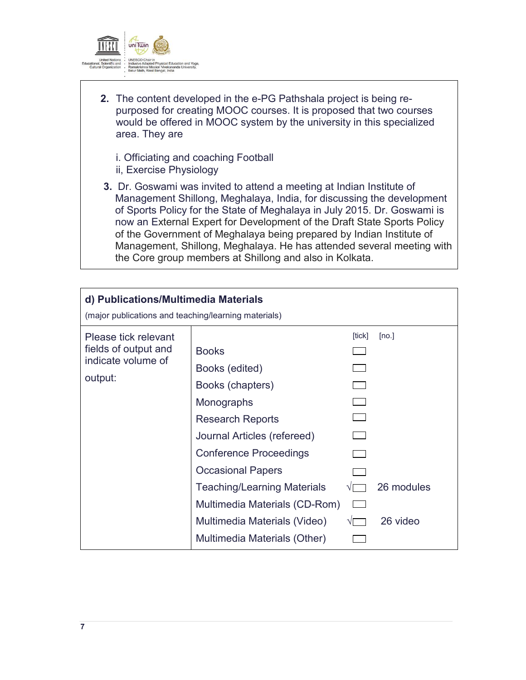

- **2.** The content developed in the e-PG Pathshala project is being repurposed for creating MOOC courses. It is proposed that two courses would be offered in MOOC system by the university in this specialized area. They are
	- i. Officiating and coaching Football ii, Exercise Physiology
- **3.** Dr. Goswami was invited to attend a meeting at Indian Institute of Management Shillong, Meghalaya, India, for discussing the development of Sports Policy for the State of Meghalaya in July 2015. Dr. Goswami is now an External Expert for Development of the Draft State Sports Policy of the Government of Meghalaya being prepared by Indian Institute of Management, Shillong, Meghalaya. He has attended several meeting with the Core group members at Shillong and also in Kolkata.

| d) Publications/Multimedia Materials<br>(major publications and teaching/learning materials) |                                                                                                                                                                                                                                                                                                                                |        |                                 |  |  |
|----------------------------------------------------------------------------------------------|--------------------------------------------------------------------------------------------------------------------------------------------------------------------------------------------------------------------------------------------------------------------------------------------------------------------------------|--------|---------------------------------|--|--|
| Please tick relevant<br>fields of output and<br>indicate volume of<br>output:                | <b>Books</b><br>Books (edited)<br>Books (chapters)<br>Monographs<br><b>Research Reports</b><br>Journal Articles (refereed)<br><b>Conference Proceedings</b><br><b>Occasional Papers</b><br><b>Teaching/Learning Materials</b><br>Multimedia Materials (CD-Rom)<br>Multimedia Materials (Video)<br>Multimedia Materials (Other) | [tick] | [no.]<br>26 modules<br>26 video |  |  |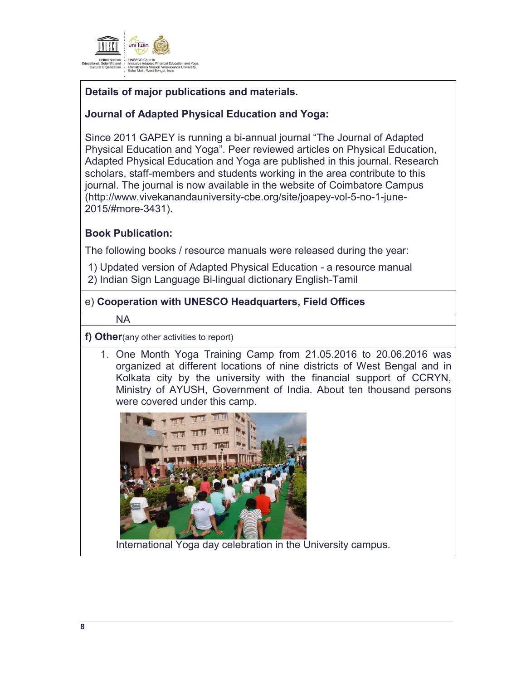

# **Details of major publications and materials.**

## **Journal of Adapted Physical Education and Yoga:**

Since 2011 GAPEY is running a bi-annual journal "The Journal of Adapted Physical Education and Yoga". Peer reviewed articles on Physical Education, Adapted Physical Education and Yoga are published in this journal. Research scholars, staff-members and students working in the area contribute to this journal. The journal is now available in the website of Coimbatore Campus (http://www.vivekanandauniversity-cbe.org/site/joapey-vol-5-no-1-june-2015/#more-3431).

## **Book Publication:**

The following books / resource manuals were released during the year:

1) Updated version of Adapted Physical Education - a resource manual 2) Indian Sign Language Bi-lingual dictionary English-Tamil

### e) **Cooperation with UNESCO Headquarters, Field Offices**

NA

**f) Other**(any other activities to report)

1. One Month Yoga Training Camp from 21.05.2016 to 20.06.2016 was organized at different locations of nine districts of West Bengal and in Kolkata city by the university with the financial support of CCRYN, Ministry of AYUSH, Government of India. About ten thousand persons were covered under this camp.



International Yoga day celebration in the University campus.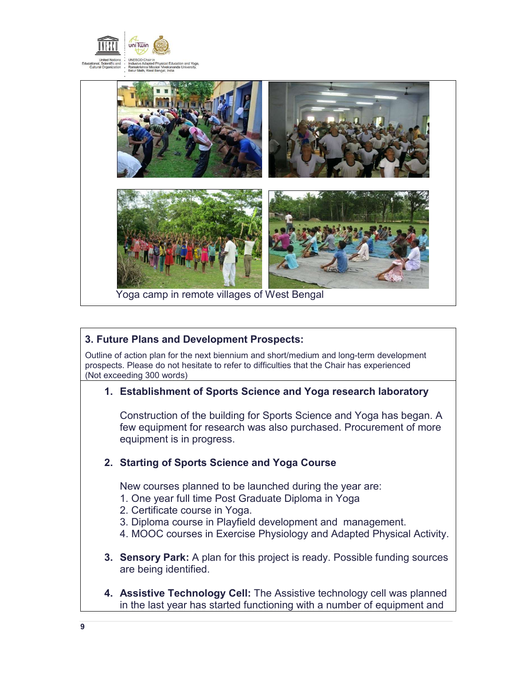



### **3. Future Plans and Development Prospects:**

Outline of action plan for the next biennium and short/medium and long-term development prospects. Please do not hesitate to refer to difficulties that the Chair has experienced (Not exceeding 300 words)

### **1. Establishment of Sports Science and Yoga research laboratory**

Construction of the building for Sports Science and Yoga has began. A few equipment for research was also purchased. Procurement of more equipment is in progress.

### **2. Starting of Sports Science and Yoga Course**

New courses planned to be launched during the year are:

- 1. One year full time Post Graduate Diploma in Yoga
- 2. Certificate course in Yoga.
- 3. Diploma course in Playfield development and management.
- 4. MOOC courses in Exercise Physiology and Adapted Physical Activity.
- **3. Sensory Park:** A plan for this project is ready. Possible funding sources are being identified.
- **4. Assistive Technology Cell:** The Assistive technology cell was planned in the last year has started functioning with a number of equipment and